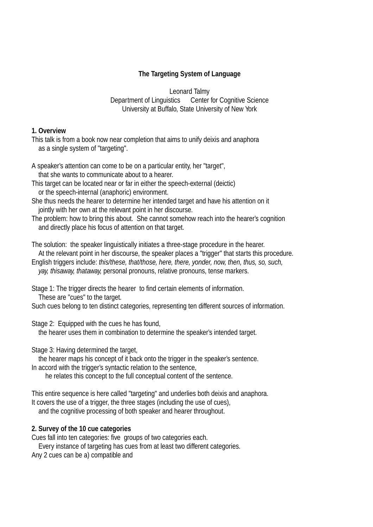## **The Targeting System of Language**

Leonard Talmy Department of Linguistics Center for Cognitive Science University at Buffalo, State University of New York

#### **1. Overview**

This talk is from a book now near completion that aims to unify deixis and anaphora as a single system of "targeting".

- A speaker's attention can come to be on a particular entity, her "target", that she wants to communicate about to a hearer.
- This target can be located near or far in either the speech-external (deictic) or the speech-internal (anaphoric) environment.
- She thus needs the hearer to determine her intended target and have his attention on it jointly with her own at the relevant point in her discourse.
- The problem: how to bring this about. She cannot somehow reach into the hearer's cognition and directly place his focus of attention on that target.

The solution: the speaker linguistically initiates a three-stage procedure in the hearer. At the relevant point in her discourse, the speaker places a "trigger" that starts this procedure.

English triggers include: *this/these, that/those, here, there, yonder, now, then, thus, so, such, yay, thisaway, thataway,* personal pronouns, relative pronouns, tense markers.

Stage 1: The trigger directs the hearer to find certain elements of information.

These are "cues" to the target.

Such cues belong to ten distinct categories, representing ten different sources of information.

Stage 2: Equipped with the cues he has found,

the hearer uses them in combination to determine the speaker's intended target.

Stage 3: Having determined the target,

the hearer maps his concept of it back onto the trigger in the speaker's sentence. In accord with the trigger's syntactic relation to the sentence,

he relates this concept to the full conceptual content of the sentence.

This entire sequence is here called "targeting" and underlies both deixis and anaphora. It covers the use of a trigger, the three stages (including the use of cues),

and the cognitive processing of both speaker and hearer throughout.

## **2. Survey of the 10 cue categories**

Cues fall into ten categories: five groups of two categories each.

Every instance of targeting has cues from at least two different categories.

Any 2 cues can be a) compatible and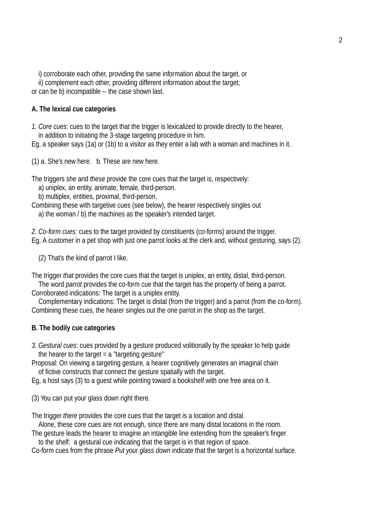i) corroborate each other, providing the same information about the target, or

ii) complement each other, providing different information about the target;

or can be b) incompatible -- the case shown last.

## **A. The lexical cue categories**

*1. Core cues*: cues to the target that the trigger is lexicalized to provide directly to the hearer, in addition to initiating the 3-stage targeting procedure in him.

Eg, a speaker says (1a) or (1b) to a visitor as they enter a lab with a woman and machines in it.

(1) a. She's new here. b. These are new here.

The triggers *she* and *these* provide the core cues that the target is, respectively:

a) uniplex, an entity, animate, female, third-person.

b) multiplex, entities, proximal, third-person.

Combining these with targetive cues (see below), the hearer respectively singles out a) the woman / b) the machines as the speaker's intended target.

2. Co-form cues: cues to the target provided by constituents (co-forms) around the trigger. Eg, A customer in a pet shop with just one parrot looks at the clerk and, without gesturing, says (2).

(2) That's the kind of parrot I like.

The trigger *that* provides the core cues that the target is uniplex, an entity, distal, third-person.

The word *parrot* provides the co-form cue that the target has the property of being a parrot. Corroborated indications: The target is a uniplex entity.

Complementary indications: The target is distal (from the trigger) and a parrot (from the co-form). Combining these cues, the hearer singles out the one parrot in the shop as the target.

## **B. The bodily cue categories**

*3. Gestural cues*: cues provided by a gesture produced volitionally by the speaker to help guide the hearer to the target  $= a$  "targeting gesture"

Proposal: On viewing a targeting gesture, a hearer cognitively generates an imaginal chain of fictive constructs that connect the gesture spatially with the target.

Eg, a host says (3) to a guest while pointing toward a bookshelf with one free area on it.

(3) You can put your glass down right there.

The trigger *there* provides the core cues that the target is a location and distal.

Alone, these core cues are not enough, since there are many distal locations in the room.

The gesture leads the hearer to imagine an intangible line extending from the speaker's finger

to the shelf: a gestural cue indicating that the target is in that region of space.

Co-form cues from the phrase *Put your glass down* indicate that the target is a horizontal surface.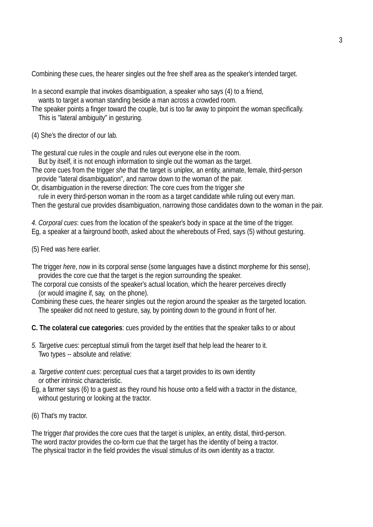Combining these cues, the hearer singles out the free shelf area as the speaker's intended target.

- In a second example that invokes disambiguation, a speaker who says (4) to a friend,
- wants to target a woman standing beside a man across a crowded room.
- The speaker points a finger toward the couple, but is too far away to pinpoint the woman specifically. This is "lateral ambiguity" in gesturing.
- (4) She's the director of our lab.

The gestural cue rules in the couple and rules out everyone else in the room.

But by itself, it is not enough information to single out the woman as the target.

The core cues from the trigger *she* that the target is uniplex, an entity, animate, female, third-person provide "lateral disambiguation", and narrow down to the woman of the pair.

Or, disambiguation in the reverse direction: The core cues from the trigger *she*

rule in every third-person woman in the room as a target candidate while ruling out every man. Then the gestural cue provides disambiguation, narrowing those candidates down to the woman in the pair.

*4. Corporal cues*: cues from the location of the speaker's body in space at the time of the trigger.

Eg, a speaker at a fairground booth, asked about the wherebouts of Fred, says (5) without gesturing.

(5) Fred was here earlier.

- The trigger *here*, now in its corporal sense (some languages have a distinct morpheme for this sense), provides the core cue that the target is the region surrounding the speaker.
- The corporal cue consists of the speaker's actual location, which the hearer perceives directly (or would imagine if, say, on the phone).

Combining these cues, the hearer singles out the region around the speaker as the targeted location. The speaker did not need to gesture, say, by pointing down to the ground in front of her.

- **C. The colateral cue categories**: cues provided by the entities that the speaker talks to or about
- *5. Targetive cues*: perceptual stimuli from the target itself that help lead the hearer to it. Two types -- absolute and relative:
- *a. Targetive content cues*: perceptual cues that a target provides to its own identity or other intrinsic characteristic.
- Eq, a farmer says (6) to a quest as they round his house onto a field with a tractor in the distance, without gesturing or looking at the tractor.

# (6) That's my tractor.

The trigger *that* provides the core cues that the target is uniplex, an entity, distal, third-person. The word *tractor* provides the co-form cue that the target has the identity of being a tractor. The physical tractor in the field provides the visual stimulus of its own identity as a tractor.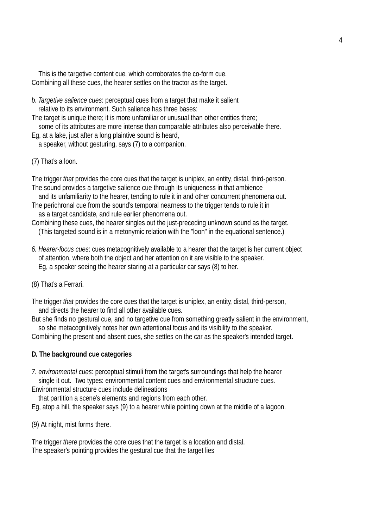This is the targetive content cue, which corroborates the co-form cue. Combining all these cues, the hearer settles on the tractor as the target.

*b. Targetive salience cues*: perceptual cues from a target that make it salient relative to its environment. Such salience has three bases:

The target is unique there; it is more unfamiliar or unusual than other entities there;

some of its attributes are more intense than comparable attributes also perceivable there.

Eg, at a lake, just after a long plaintive sound is heard, a speaker, without gesturing, says (7) to a companion.

(7) That's a loon.

The trigger *that* provides the core cues that the target is uniplex, an entity, distal, third-person. The sound provides a targetive salience cue through its uniqueness in that ambience

and its unfamiliarity to the hearer, tending to rule it in and other concurrent phenomena out. The perichronal cue from the sound's temporal nearness to the trigger tends to rule it in

as a target candidate, and rule earlier phenomena out.

Combining these cues, the hearer singles out the just-preceding unknown sound as the target. (This targeted sound is in a metonymic relation with the "loon" in the equational sentence.)

*6. Hearer-focus cues*: cues metacognitively available to a hearer that the target is her current object of attention, where both the object and her attention on it are visible to the speaker. Eg, a speaker seeing the hearer staring at a particular car says (8) to her.

(8) That's a Ferrari.

The trigger *that* provides the core cues that the target is uniplex, an entity, distal, third-person, and directs the hearer to find all other available cues.

But she finds no gestural cue, and no targetive cue from something greatly salient in the environment, so she metacognitively notes her own attentional focus and its visibility to the speaker.

Combining the present and absent cues, she settles on the car as the speaker's intended target.

## **D. The background cue categories**

*7. environmental cues*: perceptual stimuli from the target's surroundings that help the hearer single it out. Two types: environmental content cues and environmental structure cues.

Environmental structure cues include delineations

that partition a scene's elements and regions from each other. Eg, atop a hill, the speaker says (9) to a hearer while pointing down at the middle of a lagoon.

(9) At night, mist forms there.

The trigger *there* provides the core cues that the target is a location and distal. The speaker's pointing provides the gestural cue that the target lies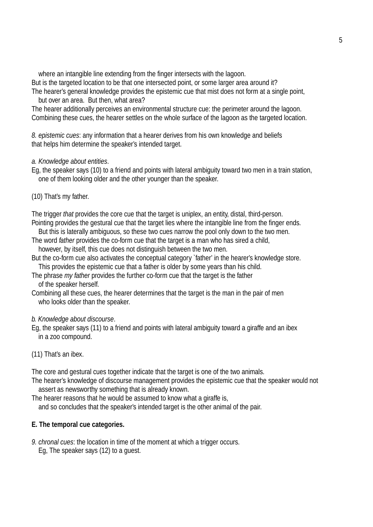where an intangible line extending from the finger intersects with the lagoon.

But is the targeted location to be that one intersected point, or some larger area around it?

The hearer's general knowledge provides the epistemic cue that mist does not form at a single point, but over an area. But then, what area?

The hearer additionally perceives an environmental structure cue: the perimeter around the lagoon. Combining these cues, the hearer settles on the whole surface of the lagoon as the targeted location.

8. epistemic cues: any information that a hearer derives from his own knowledge and beliefs that helps him determine the speaker's intended target.

### *a. Knowledge about entities*.

Eg, the speaker says (10) to a friend and points with lateral ambiguity toward two men in a train station, one of them looking older and the other younger than the speaker.

(10) That's my father.

The trigger *that* provides the core cue that the target is uniplex, an entity, distal, third-person. Pointing provides the gestural cue that the target lies where the intangible line from the finger ends.

But this is laterally ambiguous, so these two cues narrow the pool only down to the two men.

- The word *father* provides the co-form cue that the target is a man who has sired a child, however, by itself, this cue does not distinguish between the two men.
- But the co-form cue also activates the conceptual category `father' in the hearer's knowledge store. This provides the epistemic cue that a father is older by some years than his child.
- The phrase *my father* provides the further co-form cue that the target is the father of the speaker herself.
- Combining all these cues, the hearer determines that the target is the man in the pair of men who looks older than the speaker.

### *b. Knowledge about discourse*.

Eg, the speaker says (11) to a friend and points with lateral ambiguity toward a giraffe and an ibex in a zoo compound.

### (11) That's an ibex.

The core and gestural cues together indicate that the target is one of the two animals.

The hearer's knowledge of discourse management provides the epistemic cue that the speaker would not assert as newsworthy something that is already known.

The hearer reasons that he would be assumed to know what a giraffe is,

and so concludes that the speaker's intended target is the other animal of the pair.

### **E. The temporal cue categories.**

*9. chronal cues*: the location in time of the moment at which a trigger occurs. Eg, The speaker says (12) to a guest.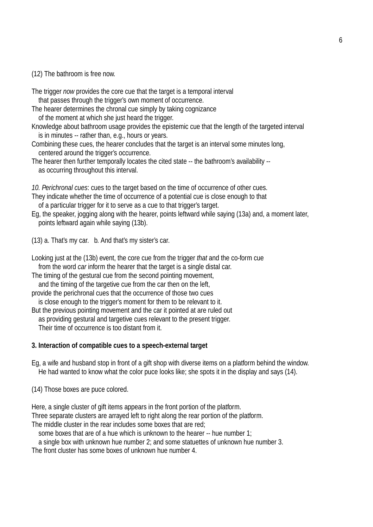(12) The bathroom is free now.

The trigger *now* provides the core cue that the target is a temporal interval that passes through the trigger's own moment of occurrence.

The hearer determines the chronal cue simply by taking cognizance of the moment at which she just heard the trigger.

Knowledge about bathroom usage provides the epistemic cue that the length of the targeted interval is in minutes -- rather than, e.g., hours or years.

Combining these cues, the hearer concludes that the target is an interval some minutes long, centered around the trigger's occurrence.

The hearer then further temporally locates the cited state -- the bathroom's availability -as occurring throughout this interval.

10. Perichronal cues: cues to the target based on the time of occurrence of other cues.

- They indicate whether the time of occurrence of a potential cue is close enough to that of a particular trigger for it to serve as a cue to that trigger's target.
- Eg, the speaker, jogging along with the hearer, points leftward while saying (13a) and, a moment later, points leftward again while saying (13b).

(13) a. That's my car. b. And that's my sister's car.

Looking just at the (13b) event, the core cue from the trigger *that* and the co-form cue from the word *car* inform the hearer that the target is a single distal car.

The timing of the gestural cue from the second pointing movement, and the timing of the targetive cue from the car then on the left,

provide the perichronal cues that the occurrence of those two cues is close enough to the trigger's moment for them to be relevant to it.

But the previous pointing movement and the car it pointed at are ruled out as providing gestural and targetive cues relevant to the present trigger. Their time of occurrence is too distant from it.

### **3. Interaction of compatible cues to a speech-external target**

Eq, a wife and husband stop in front of a gift shop with diverse items on a platform behind the window. He had wanted to know what the color puce looks like; she spots it in the display and says (14).

(14) Those boxes are puce colored.

Here, a single cluster of gift items appears in the front portion of the platform.

Three separate clusters are arrayed left to right along the rear portion of the platform.

The middle cluster in the rear includes some boxes that are red;

some boxes that are of a hue which is unknown to the hearer -- hue number 1;

a single box with unknown hue number 2; and some statuettes of unknown hue number 3.

The front cluster has some boxes of unknown hue number 4.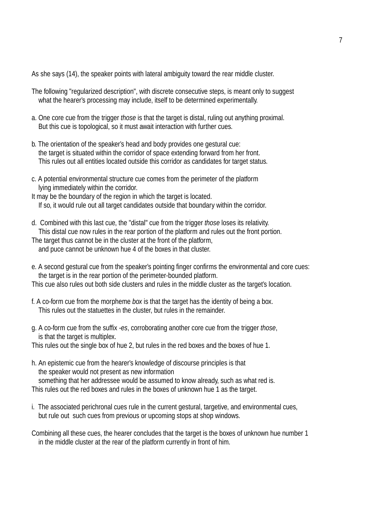As she says (14), the speaker points with lateral ambiguity toward the rear middle cluster.

- The following "regularized description", with discrete consecutive steps, is meant only to suggest what the hearer's processing may include, itself to be determined experimentally.
- a. One core cue from the trigger *those* is that the target is distal, ruling out anything proximal. But this cue is topological, so it must await interaction with further cues.
- b. The orientation of the speaker's head and body provides one gestural cue: the target is situated within the corridor of space extending forward from her front. This rules out all entities located outside this corridor as candidates for target status.
- c. A potential environmental structure cue comes from the perimeter of the platform lying immediately within the corridor.
- It may be the boundary of the region in which the target is located. If so, it would rule out all target candidates outside that boundary within the corridor.
- d. Combined with this last cue, the "distal" cue from the trigger *those* loses its relativity. This distal cue now rules in the rear portion of the platform and rules out the front portion.
- The target thus cannot be in the cluster at the front of the platform, and puce cannot be unknown hue 4 of the boxes in that cluster.
- e. A second gestural cue from the speaker's pointing finger confirms the environmental and core cues: the target is in the rear portion of the perimeter-bounded platform.

This cue also rules out both side clusters and rules in the middle cluster as the target's location.

- f. A co-form cue from the morpheme *box* is that the target has the identity of being a box. This rules out the statuettes in the cluster, but rules in the remainder.
- g. A co-form cue from the suffix *-es*, corroborating another core cue from the trigger *those*, is that the target is multiplex.

This rules out the single box of hue 2, but rules in the red boxes and the boxes of hue 1.

- h. An epistemic cue from the hearer's knowledge of discourse principles is that the speaker would not present as new information something that her addressee would be assumed to know already, such as what red is. This rules out the red boxes and rules in the boxes of unknown hue 1 as the target.
- i. The associated perichronal cues rule in the current gestural, targetive, and environmental cues, but rule out such cues from previous or upcoming stops at shop windows.
- Combining all these cues, the hearer concludes that the target is the boxes of unknown hue number 1 in the middle cluster at the rear of the platform currently in front of him.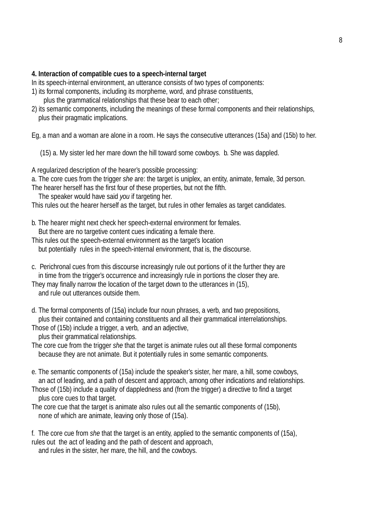#### **4. Interaction of compatible cues to a speech-internal target**

In its speech-internal environment, an utterance consists of two types of components:

- 1) its formal components, including its morpheme, word, and phrase constituents, plus the grammatical relationships that these bear to each other;
- 2) its semantic components, including the meanings of these formal components and their relationships, plus their pragmatic implications.

Eg, a man and a woman are alone in a room. He says the consecutive utterances (15a) and (15b) to her.

(15) a. My sister led her mare down the hill toward some cowboys. b. She was dappled.

A regularized description of the hearer's possible processing:

a. The core cues from the trigger *she* are: the target is uniplex, an entity, animate, female, 3d person.

The hearer herself has the first four of these properties, but not the fifth.

The speaker would have said *you* if targeting her.

This rules out the hearer herself as the target, but rules in other females as target candidates.

- b. The hearer might next check her speech-external environment for females. But there are no targetive content cues indicating a female there.
- This rules out the speech-external environment as the target's location but potentially rules in the speech-internal environment, that is, the discourse.
- c. Perichronal cues from this discourse increasingly rule out portions of it the further they are in time from the trigger's occurrence and increasingly rule in portions the closer they are.

They may finally narrow the location of the target down to the utterances in (15), and rule out utterances outside them.

d. The formal components of (15a) include four noun phrases, a verb, and two prepositions, plus their contained and containing constituents and all their grammatical interrelationships.

Those of (15b) include a trigger, a verb, and an adjective,

plus their grammatical relationships.

The core cue from the trigger *she* that the target is animate rules out all these formal components because they are not animate. But it potentially rules in some semantic components.

- e. The semantic components of (15a) include the speaker's sister, her mare, a hill, some cowboys, an act of leading, and a path of descent and approach, among other indications and relationships.
- Those of (15b) include a quality of dappledness and (from the trigger) a directive to find a target plus core cues to that target.
- The core cue that the target is animate also rules out all the semantic components of (15b), none of which are animate, leaving only those of (15a).

f. The core cue from *she* that the target is an entity, applied to the semantic components of (15a), rules out the act of leading and the path of descent and approach,

and rules in the sister, her mare, the hill, and the cowboys.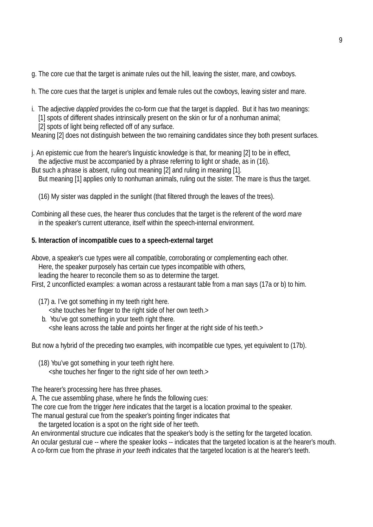- g. The core cue that the target is animate rules out the hill, leaving the sister, mare, and cowboys.
- h. The core cues that the target is uniplex and female rules out the cowboys, leaving sister and mare.
- i. The adjective *dappled* provides the co-form cue that the target is dappled. But it has two meanings: [1] spots of different shades intrinsically present on the skin or fur of a nonhuman animal;
	- [2] spots of light being reflected off of any surface.

Meaning [2] does not distinguish between the two remaining candidates since they both present surfaces.

j. An epistemic cue from the hearer's linguistic knowledge is that, for meaning [2] to be in effect, the adjective must be accompanied by a phrase referring to light or shade, as in (16).

But such a phrase is absent, ruling out meaning [2] and ruling in meaning [1].

- But meaning [1] applies only to nonhuman animals, ruling out the sister. The mare is thus the target.
- (16) My sister was dappled in the sunlight (that filtered through the leaves of the trees).

Combining all these cues, the hearer thus concludes that the target is the referent of the word *mare* in the speaker's current utterance, itself within the speech-internal environment.

### **5. Interaction of incompatible cues to a speech-external target**

Above, a speaker's cue types were all compatible, corroborating or complementing each other. Here, the speaker purposely has certain cue types incompatible with others, leading the hearer to reconcile them so as to determine the target.

First, 2 unconflicted examples: a woman across a restaurant table from a man says (17a or b) to him.

(17) a. I've got something in my teeth right here.

<she touches her finger to the right side of her own teeth.>

b. You've got something in your teeth right there. <she leans across the table and points her finger at the right side of his teeth.>

But now a hybrid of the preceding two examples, with incompatible cue types, yet equivalent to (17b).

(18) You've got something in your teeth right here. <she touches her finger to the right side of her own teeth.>

The hearer's processing here has three phases.

A. The cue assembling phase, where he finds the following cues:

The core cue from the trigger *here* indicates that the target is a location proximal to the speaker.

The manual gestural cue from the speaker's pointing finger indicates that

the targeted location is a spot on the right side of her teeth.

An environmental structure cue indicates that the speaker's body is the setting for the targeted location.

An ocular gestural cue -- where the speaker looks -- indicates that the targeted location is at the hearer's mouth.

A co-form cue from the phrase *in your teeth* indicates that the targeted location is at the hearer's teeth.